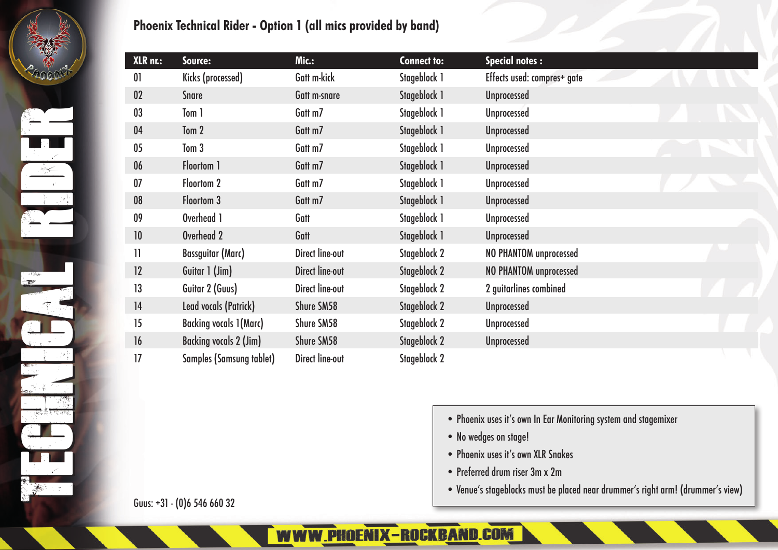## **Phoenix Technical Rider - Option 1 (all mics provided by band)**

| XLR nr.:       | Source:                         | Mic.:                  | <b>Connect to:</b>  | <b>Special notes:</b>         |  |  |
|----------------|---------------------------------|------------------------|---------------------|-------------------------------|--|--|
| 0 <sup>1</sup> | Kicks (processed)               | Gatt m-kick            | Stageblock 1        | Effects used: compres+ gate   |  |  |
| 02             | <b>Snare</b>                    | Gatt m-snare           | Stageblock 1        | <b>Unprocessed</b>            |  |  |
| 03             | Tom 1                           | Gatt m7                | Stageblock 1        | <b>Unprocessed</b>            |  |  |
| 04             | Tom 2                           | Gatt m7                | Stageblock 1        | <b>Unprocessed</b>            |  |  |
| 05             | Tom 3                           | Gatt m7                | Stageblock 1        | <b>Unprocessed</b>            |  |  |
| 06             | Floortom 1                      | Gatt m7                | Stageblock 1        | <b>Unprocessed</b>            |  |  |
| 07             | Floortom 2                      | Gatt m7                | Stageblock 1        | <b>Unprocessed</b>            |  |  |
| 08             | Floortom 3                      | Gatt m7                | Stageblock 1        | <b>Unprocessed</b>            |  |  |
| 09             | Overhead 1                      | Gatt                   | Stageblock 1        | <b>Unprocessed</b>            |  |  |
| 10             | Overhead 2                      | Gatt                   | Stageblock 1        | <b>Unprocessed</b>            |  |  |
| 11             | <b>Bassguitar (Marc)</b>        | <b>Direct line-out</b> | Stageblock 2        | <b>NO PHANTOM unprocessed</b> |  |  |
| 12             | Guitar 1 (Jim)                  | <b>Direct line-out</b> | Stageblock 2        | NO PHANTOM unprocessed        |  |  |
| 13             | Guitar 2 (Guus)                 | Direct line-out        | Stageblock 2        | 2 guitarlines combined        |  |  |
| 14             | Lead vocals (Patrick)           | Shure SM58             | Stageblock 2        | <b>Unprocessed</b>            |  |  |
| 15             | <b>Backing vocals 1(Marc)</b>   | Shure SM58             | Stageblock 2        | <b>Unprocessed</b>            |  |  |
| 16             | <b>Backing vocals 2 (Jim)</b>   | Shure SM58             | <b>Stageblock 2</b> | <b>Unprocessed</b>            |  |  |
| 17             | <b>Samples (Samsung tablet)</b> | <b>Direct line-out</b> | Stageblock 2        |                               |  |  |

- Phoenix uses it's own In Ear Monitoring system and stagemixer
- No wedges on stage!
- Phoenix uses it's own XLR Snakes
- Preferred drum riser 3m x 2m
- Venue's stageblocks must be placed near drummer's right arm! (drummer's view)

Guus: +31 - (0)6 546 660 32

WWW.PHOENIX-ROCKBAND.COM